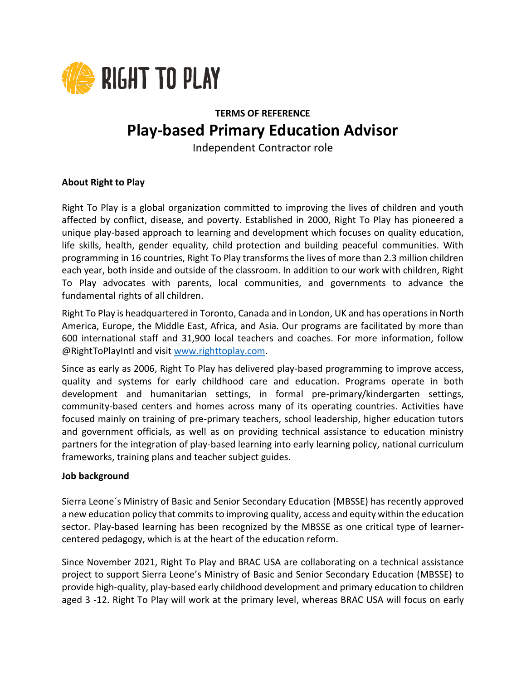

# **TERMS OF REFERENCE Play-based Primary Education Advisor**

Independent Contractor role

### **About Right to Play**

Right To Play is a global organization committed to improving the lives of children and youth affected by conflict, disease, and poverty. Established in 2000, Right To Play has pioneered a unique play-based approach to learning and development which focuses on quality education, life skills, health, gender equality, child protection and building peaceful communities. With programming in 16 countries, Right To Play transforms the lives of more than 2.3 million children each year, both inside and outside of the classroom. In addition to our work with children, Right To Play advocates with parents, local communities, and governments to advance the fundamental rights of all children.

Right To Play is headquartered in Toronto, Canada and in London, UK and has operations in North America, Europe, the Middle East, Africa, and Asia. Our programs are facilitated by more than 600 international staff and 31,900 local teachers and coaches. For more information, follow @RightToPlayIntl and visit [www.righttoplay.com.](http://www.righttoplay.com/)

Since as early as 2006, Right To Play has delivered play-based programming to improve access, quality and systems for early childhood care and education. Programs operate in both development and humanitarian settings, in formal pre-primary/kindergarten settings, community-based centers and homes across many of its operating countries. Activities have focused mainly on training of pre-primary teachers, school leadership, higher education tutors and government officials, as well as on providing technical assistance to education ministry partners for the integration of play-based learning into early learning policy, national curriculum frameworks, training plans and teacher subject guides.

#### **Job background**

Sierra Leone´s Ministry of Basic and Senior Secondary Education (MBSSE) has recently approved a new education policy that commits to improving quality, access and equity within the education sector. Play-based learning has been recognized by the MBSSE as one critical type of learnercentered pedagogy, which is at the heart of the education reform.

Since November 2021, Right To Play and BRAC USA are collaborating on a technical assistance project to support Sierra Leone's Ministry of Basic and Senior Secondary Education (MBSSE) to provide high-quality, play-based early childhood development and primary education to children aged 3 -12. Right To Play will work at the primary level, whereas BRAC USA will focus on early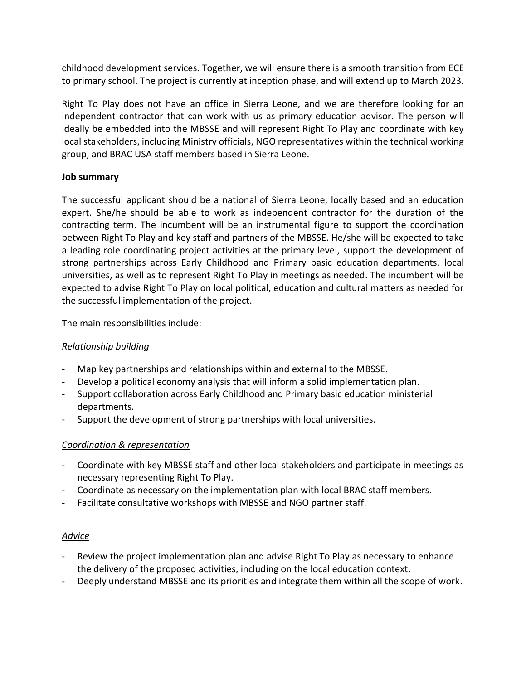childhood development services. Together, we will ensure there is a smooth transition from ECE to primary school. The project is currently at inception phase, and will extend up to March 2023.

Right To Play does not have an office in Sierra Leone, and we are therefore looking for an independent contractor that can work with us as primary education advisor. The person will ideally be embedded into the MBSSE and will represent Right To Play and coordinate with key local stakeholders, including Ministry officials, NGO representatives within the technical working group, and BRAC USA staff members based in Sierra Leone.

### **Job summary**

The successful applicant should be a national of Sierra Leone, locally based and an education expert. She/he should be able to work as independent contractor for the duration of the contracting term. The incumbent will be an instrumental figure to support the coordination between Right To Play and key staff and partners of the MBSSE. He/she will be expected to take a leading role coordinating project activities at the primary level, support the development of strong partnerships across Early Childhood and Primary basic education departments, local universities, as well as to represent Right To Play in meetings as needed. The incumbent will be expected to advise Right To Play on local political, education and cultural matters as needed for the successful implementation of the project.

The main responsibilities include:

### *Relationship building*

- Map key partnerships and relationships within and external to the MBSSE.
- Develop a political economy analysis that will inform a solid implementation plan.
- Support collaboration across Early Childhood and Primary basic education ministerial departments.
- Support the development of strong partnerships with local universities.

### *Coordination & representation*

- Coordinate with key MBSSE staff and other local stakeholders and participate in meetings as necessary representing Right To Play.
- Coordinate as necessary on the implementation plan with local BRAC staff members.
- Facilitate consultative workshops with MBSSE and NGO partner staff.

### *Advice*

- Review the project implementation plan and advise Right To Play as necessary to enhance the delivery of the proposed activities, including on the local education context.
- Deeply understand MBSSE and its priorities and integrate them within all the scope of work.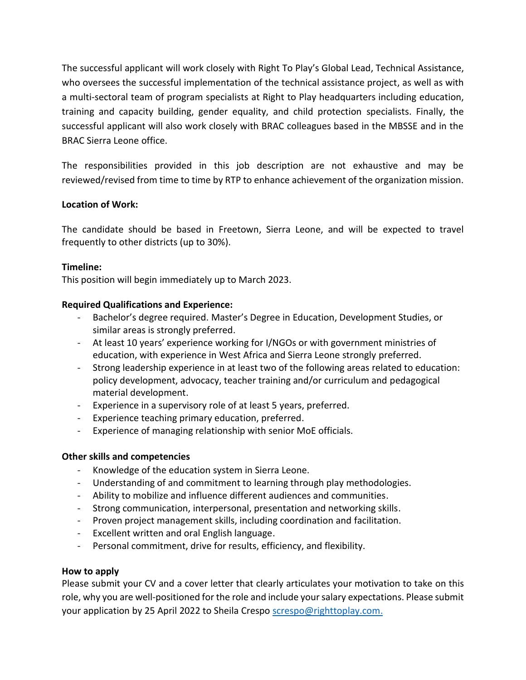The successful applicant will work closely with Right To Play's Global Lead, Technical Assistance, who oversees the successful implementation of the technical assistance project, as well as with a multi-sectoral team of program specialists at Right to Play headquarters including education, training and capacity building, gender equality, and child protection specialists. Finally, the successful applicant will also work closely with BRAC colleagues based in the MBSSE and in the BRAC Sierra Leone office.

The responsibilities provided in this job description are not exhaustive and may be reviewed/revised from time to time by RTP to enhance achievement of the organization mission.

### **Location of Work:**

The candidate should be based in Freetown, Sierra Leone, and will be expected to travel frequently to other districts (up to 30%).

### **Timeline:**

This position will begin immediately up to March 2023.

## **Required Qualifications and Experience:**

- Bachelor's degree required. Master's Degree in Education, Development Studies, or similar areas is strongly preferred.
- At least 10 years' experience working for I/NGOs or with government ministries of education, with experience in West Africa and Sierra Leone strongly preferred.
- Strong leadership experience in at least two of the following areas related to education: policy development, advocacy, teacher training and/or curriculum and pedagogical material development.
- Experience in a supervisory role of at least 5 years, preferred.
- Experience teaching primary education, preferred.
- Experience of managing relationship with senior MoE officials.

### **Other skills and competencies**

- Knowledge of the education system in Sierra Leone.
- Understanding of and commitment to learning through play methodologies.
- Ability to mobilize and influence different audiences and communities.
- Strong communication, interpersonal, presentation and networking skills.
- Proven project management skills, including coordination and facilitation.
- Excellent written and oral English language.
- Personal commitment, drive for results, efficiency, and flexibility.

### **How to apply**

Please submit your CV and a cover letter that clearly articulates your motivation to take on this role, why you are well-positioned for the role and include your salary expectations. Please submit your application by 25 April 2022 to Sheila Crespo [screspo@righttoplay.com.](mailto:screspo@righttoplay.com)